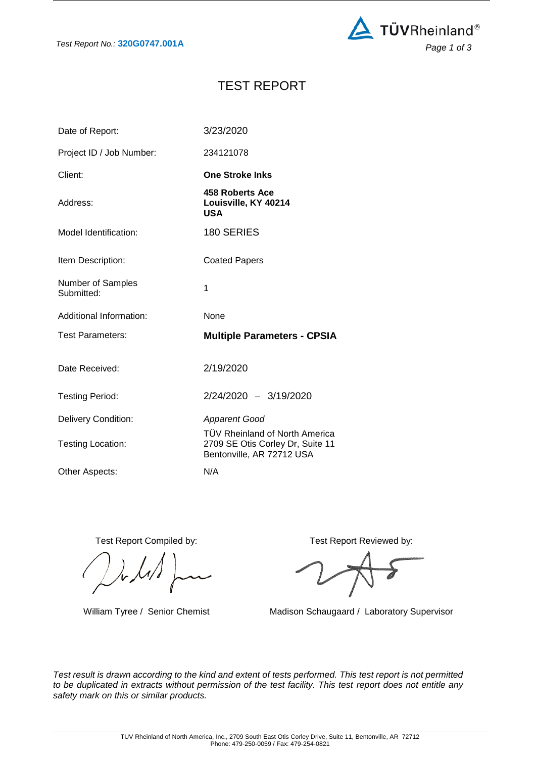

# TEST REPORT

| Date of Report:                 | 3/23/2020                                                                                       |
|---------------------------------|-------------------------------------------------------------------------------------------------|
| Project ID / Job Number:        | 234121078                                                                                       |
| Client:                         | <b>One Stroke Inks</b>                                                                          |
| Address:                        | 458 Roberts Ace<br>Louisville, KY 40214<br><b>USA</b>                                           |
| Model Identification:           | 180 SERIES                                                                                      |
| Item Description:               | <b>Coated Papers</b>                                                                            |
| Number of Samples<br>Submitted: | 1                                                                                               |
|                                 |                                                                                                 |
| Additional Information:         | None                                                                                            |
| <b>Test Parameters:</b>         | <b>Multiple Parameters - CPSIA</b>                                                              |
| Date Received:                  | 2/19/2020                                                                                       |
| <b>Testing Period:</b>          | 2/24/2020 - 3/19/2020                                                                           |
| <b>Delivery Condition:</b>      | <b>Apparent Good</b>                                                                            |
| Testing Location:               | TÜV Rheinland of North America<br>2709 SE Otis Corley Dr, Suite 11<br>Bentonville, AR 72712 USA |

Test Report Compiled by: Test Report Reviewed by:

William Tyree / Senior Chemist Madison Schaugaard / Laboratory Supervisor

*Test result is drawn according to the kind and extent of tests performed. This test report is not permitted to be duplicated in extracts without permission of the test facility. This test report does not entitle any safety mark on this or similar products.*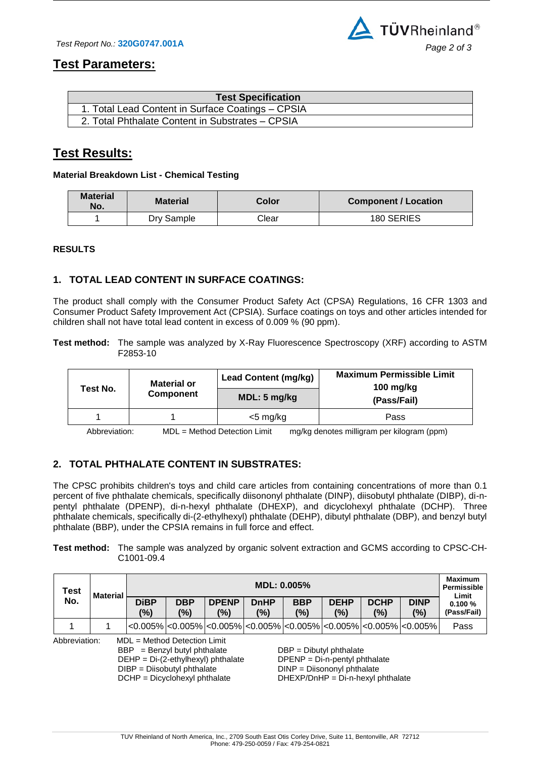

## **Test Parameters:**

| <b>Test Specification</b>                         |  |
|---------------------------------------------------|--|
| 1. Total Lead Content in Surface Coatings - CPSIA |  |
| 2. Total Phthalate Content in Substrates - CPSIA  |  |

## **Test Results:**

#### **Material Breakdown List - Chemical Testing**

| <b>Material</b><br>No. | <b>Material</b> | Color | <b>Component / Location</b> |  |  |  |
|------------------------|-----------------|-------|-----------------------------|--|--|--|
|                        | Dry Sample      | Clear | 180 SERIES                  |  |  |  |

#### **RESULTS**

### **1. TOTAL LEAD CONTENT IN SURFACE COATINGS:**

The product shall comply with the Consumer Product Safety Act (CPSA) Regulations, 16 CFR 1303 and Consumer Product Safety Improvement Act (CPSIA). Surface coatings on toys and other articles intended for children shall not have total lead content in excess of 0.009 % (90 ppm).

**Test method:** The sample was analyzed by X-Ray Fluorescence Spectroscopy (XRF) according to ASTM F2853-10

|                                                                                                                                                                                                                                                                                                                  | <b>Material or</b> | <b>Lead Content (mg/kg)</b> | <b>Maximum Permissible Limit</b><br>100 $mg/kg$ |  |  |  |
|------------------------------------------------------------------------------------------------------------------------------------------------------------------------------------------------------------------------------------------------------------------------------------------------------------------|--------------------|-----------------------------|-------------------------------------------------|--|--|--|
| Test No.                                                                                                                                                                                                                                                                                                         | <b>Component</b>   | MDL: 5 mg/kg                | (Pass/Fail)                                     |  |  |  |
|                                                                                                                                                                                                                                                                                                                  |                    | $<$ 5 mg/kg                 | Pass                                            |  |  |  |
| $\mathbf{M}$ and $\mathbf{N}$ and $\mathbf{N}$ and $\mathbf{N}$ and $\mathbf{N}$ and $\mathbf{N}$ and $\mathbf{N}$ and $\mathbf{N}$ and $\mathbf{N}$ and $\mathbf{N}$ and $\mathbf{N}$ and $\mathbf{N}$ and $\mathbf{N}$ and $\mathbf{N}$ and $\mathbf{N}$ and $\mathbf{N}$ and $\mathbf{N}$ and<br>$\mathbf{A}$ |                    |                             |                                                 |  |  |  |

Abbreviation: MDL = Method Detection Limit mg/kg denotes milligram per kilogram (ppm)

### **2. TOTAL PHTHALATE CONTENT IN SUBSTRATES:**

The CPSC prohibits children's toys and child care articles from containing concentrations of more than 0.1 percent of five phthalate chemicals, specifically diisononyl phthalate (DINP), diisobutyl phthalate (DIBP), di-npentyl phthalate (DPENP), di-n-hexyl phthalate (DHEXP), and dicyclohexyl phthalate (DCHP). Three phthalate chemicals, specifically di-(2-ethylhexyl) phthalate (DEHP), dibutyl phthalate (DBP), and benzyl butyl phthalate (BBP), under the CPSIA remains in full force and effect.

#### **Test method:** The sample was analyzed by organic solvent extraction and GCMS according to CPSC-CH-C1001-09.4

| <b>Test</b>                                                                                                                                                                                                                                                                                                                        | <b>Material</b> | <b>MDL: 0.005%</b> |                   |                     |                    |                   |                    | <b>Maximum</b><br>Permissible<br>Limit |                                                                                                                          |                       |
|------------------------------------------------------------------------------------------------------------------------------------------------------------------------------------------------------------------------------------------------------------------------------------------------------------------------------------|-----------------|--------------------|-------------------|---------------------|--------------------|-------------------|--------------------|----------------------------------------|--------------------------------------------------------------------------------------------------------------------------|-----------------------|
| No.                                                                                                                                                                                                                                                                                                                                |                 | <b>DiBP</b><br>(%) | <b>DBP</b><br>(%) | <b>DPENP</b><br>(%) | <b>DnHP</b><br>(%) | <b>BBP</b><br>(%) | <b>DEHP</b><br>(%) | <b>DCHP</b><br>(%)                     | <b>DINP</b><br>(%)                                                                                                       | 0.100%<br>(Pass/Fail) |
|                                                                                                                                                                                                                                                                                                                                    |                 |                    |                   |                     |                    |                   |                    |                                        | $ <\!\!0.005\% <\!\!0.005\% <\!\!0.005\% <\!\!0.005\% <\!\!0.005\% <\!\!0.005\% <\!\!0.005\% <\!\!0.005\% <\!\!0.005\% $ | Pass                  |
| Abbreviation:<br>$MDL = Method$ Detection Limit<br>$BBP = \text{Benzyl}$ butyl phthalate<br>$DBP = Dibutyl$ phthalate<br>DEHP = Di-(2-ethylhexyl) phthalate<br>$DPENP = Di-n-pentyl phthalate$<br>DIBP = Diisobutyl phthalate<br>DINP = Diisononyl phthalate<br>DCHP = Dicyclohexyl phthalate<br>DHEXP/DnHP = Di-n-hexyl phthalate |                 |                    |                   |                     |                    |                   |                    |                                        |                                                                                                                          |                       |